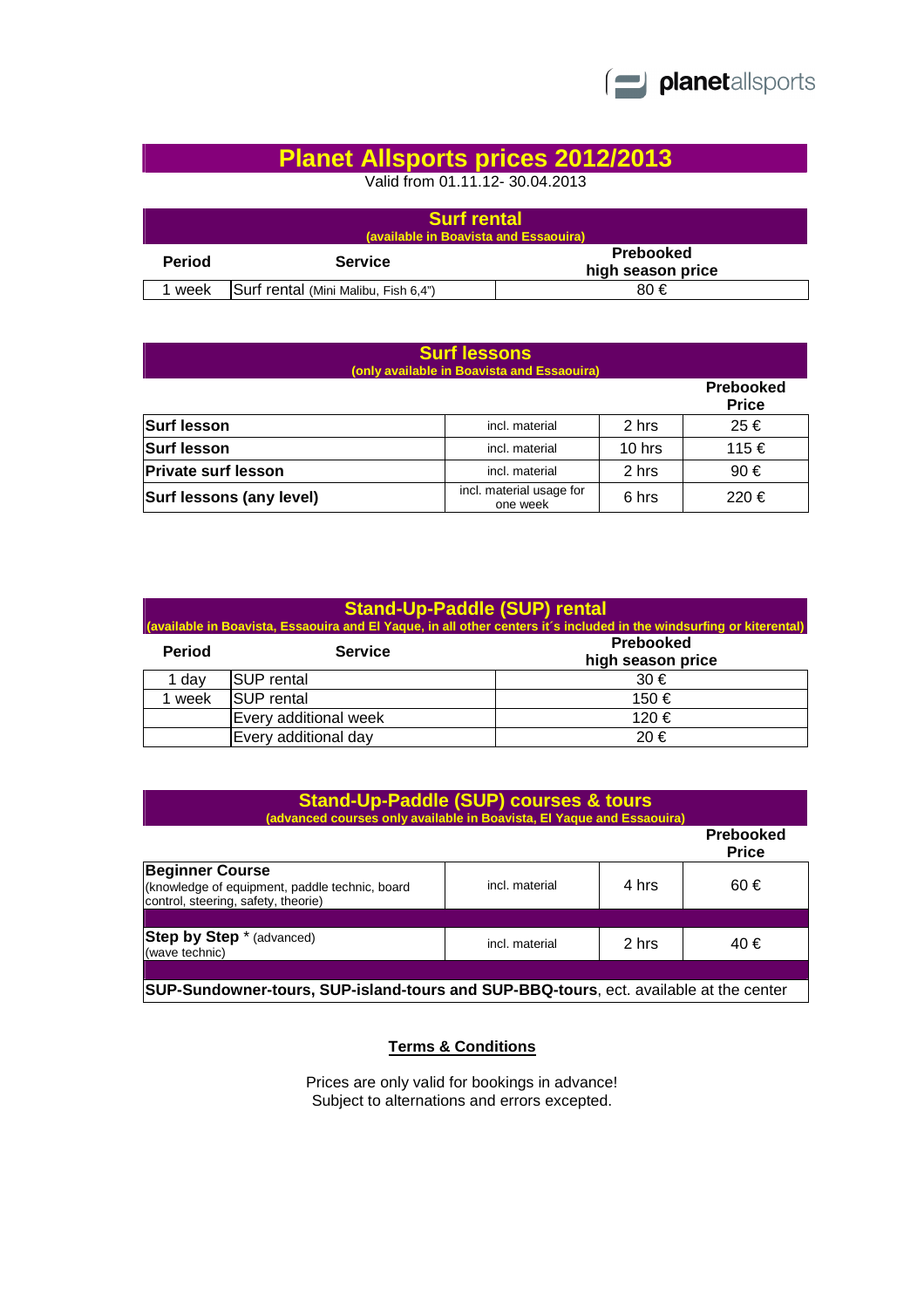

## **Planet Allsports prices 2012/2013**

Valid from 01.11.12- 30.04.2013

| <b>Surf rental</b><br>(available in Boavista and Essaouira) |                                      |                                |  |  |
|-------------------------------------------------------------|--------------------------------------|--------------------------------|--|--|
| <b>Period</b>                                               | <b>Service</b>                       | Prebooked<br>high season price |  |  |
| week                                                        | Surf rental (Mini Malibu, Fish 6,4") | 80€                            |  |  |

| <b>Surf lessons</b><br>(only available in Boavista and Essaouira) |                                      |        |                                  |  |  |
|-------------------------------------------------------------------|--------------------------------------|--------|----------------------------------|--|--|
|                                                                   |                                      |        | <b>Prebooked</b><br><b>Price</b> |  |  |
| <b>Surf lesson</b>                                                | incl. material                       | 2 hrs  | 25€                              |  |  |
| <b>Surf lesson</b>                                                | incl. material                       | 10 hrs | 115 €                            |  |  |
| <b>Private surf lesson</b>                                        | incl. material                       | 2 hrs  | 90€                              |  |  |
| Surf lessons (any level)                                          | incl. material usage for<br>one week | 6 hrs  | 220€                             |  |  |

| <b>Stand-Up-Paddle (SUP) rental</b><br>(available in Boavista, Essaouira and El Yaque, in all other centers it's included in the windsurfing or kiterental) |                       |                                |  |  |
|-------------------------------------------------------------------------------------------------------------------------------------------------------------|-----------------------|--------------------------------|--|--|
| <b>Period</b>                                                                                                                                               | <b>Service</b>        | Prebooked<br>high season price |  |  |
| 1 day                                                                                                                                                       | SUP rental            | 30 €                           |  |  |
| 1 week                                                                                                                                                      | <b>SUP</b> rental     | 150 €                          |  |  |
|                                                                                                                                                             | Every additional week | 120 €                          |  |  |
|                                                                                                                                                             | Every additional day  | 20€                            |  |  |

| <b>Stand-Up-Paddle (SUP) courses &amp; tours</b><br>(advanced courses only available in Boavista, El Yaque and Essaouira) |                |       |                                  |  |
|---------------------------------------------------------------------------------------------------------------------------|----------------|-------|----------------------------------|--|
|                                                                                                                           |                |       | <b>Prebooked</b><br><b>Price</b> |  |
| <b>Beginner Course</b><br>(knowledge of equipment, paddle technic, board<br>control, steering, safety, theorie)           | incl. material | 4 hrs | 60€                              |  |
|                                                                                                                           |                |       |                                  |  |
| <b>Step by Step</b> * (advanced)<br>(wave technic)                                                                        | incl. material | 2 hrs | 40 €                             |  |
|                                                                                                                           |                |       |                                  |  |
| SUP-Sundowner-tours, SUP-island-tours and SUP-BBQ-tours, ect. available at the center                                     |                |       |                                  |  |

## **Terms & Conditions**

Prices are only valid for bookings in advance! Subject to alternations and errors excepted.